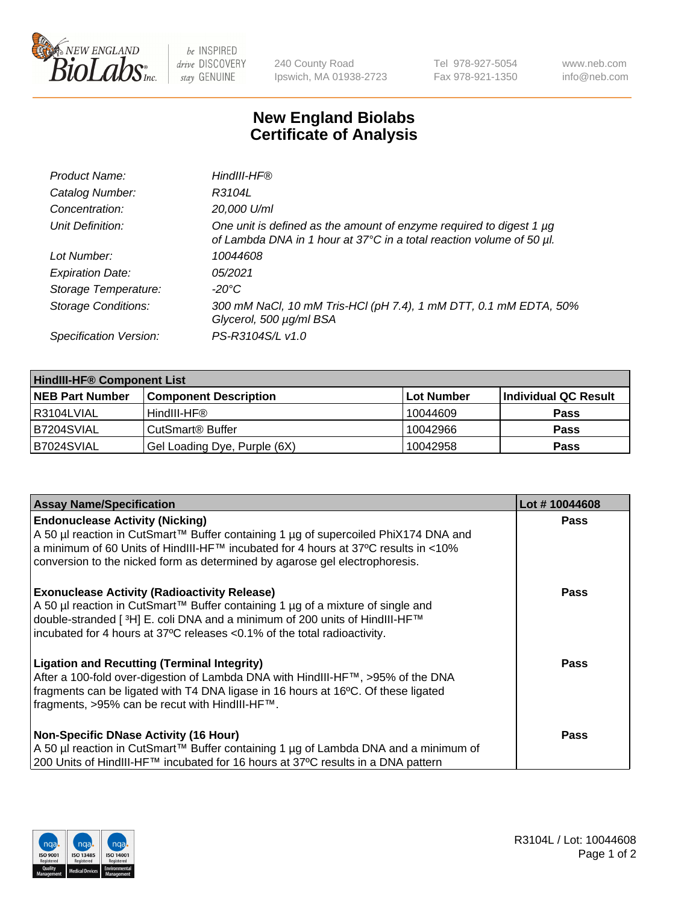

 $be$  INSPIRED drive DISCOVERY stay GENUINE

240 County Road Ipswich, MA 01938-2723 Tel 978-927-5054 Fax 978-921-1350 www.neb.com info@neb.com

## **New England Biolabs Certificate of Analysis**

| Product Name:              | HindIII-HF®                                                                                                                                      |
|----------------------------|--------------------------------------------------------------------------------------------------------------------------------------------------|
| Catalog Number:            | R3104L                                                                                                                                           |
| Concentration:             | 20,000 U/ml                                                                                                                                      |
| Unit Definition:           | One unit is defined as the amount of enzyme required to digest 1 $\mu$ g<br>of Lambda DNA in 1 hour at 37°C in a total reaction volume of 50 µl. |
| Lot Number:                | 10044608                                                                                                                                         |
| <b>Expiration Date:</b>    | 05/2021                                                                                                                                          |
| Storage Temperature:       | -20°C                                                                                                                                            |
| <b>Storage Conditions:</b> | 300 mM NaCl, 10 mM Tris-HCl (pH 7.4), 1 mM DTT, 0.1 mM EDTA, 50%<br>Glycerol, 500 µg/ml BSA                                                      |
| Specification Version:     | PS-R3104S/L v1.0                                                                                                                                 |

| <b>HindIII-HF® Component List</b> |                              |            |                      |  |  |
|-----------------------------------|------------------------------|------------|----------------------|--|--|
| <b>NEB Part Number</b>            | <b>Component Description</b> | Lot Number | Individual QC Result |  |  |
| I R3104LVIAL                      | HindIII-HF®                  | 10044609   | <b>Pass</b>          |  |  |
| <b>B7204SVIAL</b>                 | CutSmart <sup>®</sup> Buffer | 10042966   | <b>Pass</b>          |  |  |
| B7024SVIAL                        | Gel Loading Dye, Purple (6X) | 10042958   | <b>Pass</b>          |  |  |

| <b>Assay Name/Specification</b>                                                                                                                                                                                                                                                                  | Lot #10044608 |
|--------------------------------------------------------------------------------------------------------------------------------------------------------------------------------------------------------------------------------------------------------------------------------------------------|---------------|
| <b>Endonuclease Activity (Nicking)</b><br>A 50 µl reaction in CutSmart™ Buffer containing 1 µg of supercoiled PhiX174 DNA and                                                                                                                                                                    | <b>Pass</b>   |
| a minimum of 60 Units of HindIII-HF <sup>TM</sup> incubated for 4 hours at 37 <sup>o</sup> C results in <10%<br>conversion to the nicked form as determined by agarose gel electrophoresis.                                                                                                      |               |
| <b>Exonuclease Activity (Radioactivity Release)</b><br>A 50 µl reaction in CutSmart™ Buffer containing 1 µg of a mixture of single and<br>double-stranded [3H] E. coli DNA and a minimum of 200 units of HindIII-HF™<br>incubated for 4 hours at 37°C releases <0.1% of the total radioactivity. | <b>Pass</b>   |
| <b>Ligation and Recutting (Terminal Integrity)</b><br>After a 100-fold over-digestion of Lambda DNA with HindIII-HF™, >95% of the DNA<br>fragments can be ligated with T4 DNA ligase in 16 hours at 16°C. Of these ligated<br>fragments, >95% can be recut with HindIII-HF™.                     | <b>Pass</b>   |
| <b>Non-Specific DNase Activity (16 Hour)</b><br>A 50 µl reaction in CutSmart™ Buffer containing 1 µg of Lambda DNA and a minimum of                                                                                                                                                              | <b>Pass</b>   |
| 200 Units of HindIII-HF™ incubated for 16 hours at 37°C results in a DNA pattern                                                                                                                                                                                                                 |               |